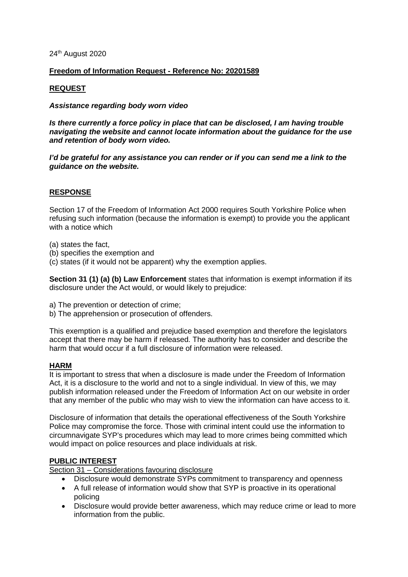#### 24<sup>th</sup> August 2020

# **Freedom of Information Request - Reference No: 20201589**

# **REQUEST**

#### *Assistance regarding body worn video*

*Is there currently a force policy in place that can be disclosed, I am having trouble navigating the website and cannot locate information about the guidance for the use and retention of body worn video.* 

*I'd be grateful for any assistance you can render or if you can send me a link to the guidance on the website.* 

# **RESPONSE**

Section 17 of the Freedom of Information Act 2000 requires South Yorkshire Police when refusing such information (because the information is exempt) to provide you the applicant with a notice which

(a) states the fact,

- (b) specifies the exemption and
- (c) states (if it would not be apparent) why the exemption applies.

**Section 31 (1) (a) (b) Law Enforcement** states that information is exempt information if its disclosure under the Act would, or would likely to prejudice:

- a) The prevention or detection of crime;
- b) The apprehension or prosecution of offenders.

This exemption is a qualified and prejudice based exemption and therefore the legislators accept that there may be harm if released. The authority has to consider and describe the harm that would occur if a full disclosure of information were released.

#### **HARM**

It is important to stress that when a disclosure is made under the Freedom of Information Act, it is a disclosure to the world and not to a single individual. In view of this, we may publish information released under the Freedom of Information Act on our website in order that any member of the public who may wish to view the information can have access to it.

Disclosure of information that details the operational effectiveness of the South Yorkshire Police may compromise the force. Those with criminal intent could use the information to circumnavigate SYP's procedures which may lead to more crimes being committed which would impact on police resources and place individuals at risk.

# **PUBLIC INTEREST**

Section 31 – Considerations favouring disclosure

- Disclosure would demonstrate SYPs commitment to transparency and openness
- A full release of information would show that SYP is proactive in its operational policing
- Disclosure would provide better awareness, which may reduce crime or lead to more information from the public.